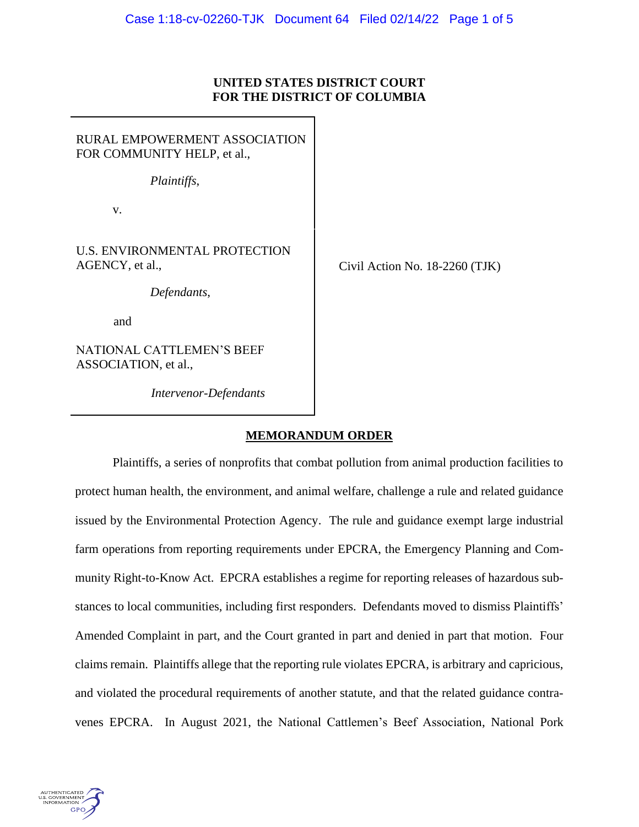## **UNITED STATES DISTRICT COURT FOR THE DISTRICT OF COLUMBIA**

RURAL EMPOWERMENT ASSOCIATION FOR COMMUNITY HELP, et al., *Plaintiffs*, v. U.S. ENVIRONMENTAL PROTECTION AGENCY, et al., *Defendants*, and NATIONAL CATTLEMEN'S BEEF

ASSOCIATION, et al.,

*Intervenor-Defendants*

Civil Action No. 18-2260 (TJK)

# **MEMORANDUM ORDER**

Plaintiffs, a series of nonprofits that combat pollution from animal production facilities to protect human health, the environment, and animal welfare, challenge a rule and related guidance issued by the Environmental Protection Agency. The rule and guidance exempt large industrial farm operations from reporting requirements under EPCRA, the Emergency Planning and Community Right-to-Know Act. EPCRA establishes a regime for reporting releases of hazardous substances to local communities, including first responders. Defendants moved to dismiss Plaintiffs' Amended Complaint in part, and the Court granted in part and denied in part that motion. Four claims remain. Plaintiffs allege that the reporting rule violates EPCRA, is arbitrary and capricious, and violated the procedural requirements of another statute, and that the related guidance contravenes EPCRA. In August 2021, the National Cattlemen's Beef Association, National Pork

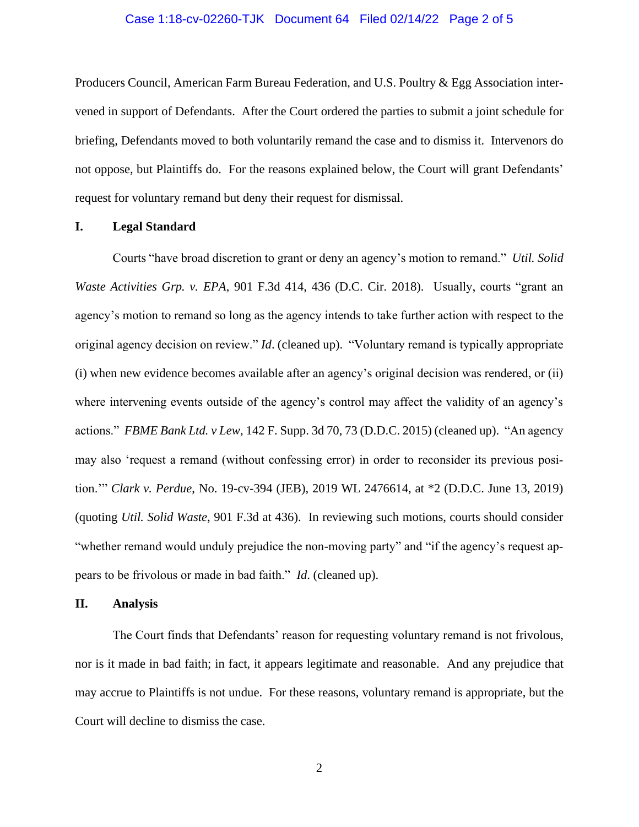### Case 1:18-cv-02260-TJK Document 64 Filed 02/14/22 Page 2 of 5

Producers Council, American Farm Bureau Federation, and U.S. Poultry & Egg Association intervened in support of Defendants. After the Court ordered the parties to submit a joint schedule for briefing, Defendants moved to both voluntarily remand the case and to dismiss it. Intervenors do not oppose, but Plaintiffs do. For the reasons explained below, the Court will grant Defendants' request for voluntary remand but deny their request for dismissal.

### **I. Legal Standard**

Courts "have broad discretion to grant or deny an agency's motion to remand." *Util. Solid Waste Activities Grp. v. EPA*, 901 F.3d 414, 436 (D.C. Cir. 2018). Usually, courts "grant an agency's motion to remand so long as the agency intends to take further action with respect to the original agency decision on review." *Id*. (cleaned up). "Voluntary remand is typically appropriate (i) when new evidence becomes available after an agency's original decision was rendered, or (ii) where intervening events outside of the agency's control may affect the validity of an agency's actions." *FBME Bank Ltd. v Lew*, 142 F. Supp. 3d 70, 73 (D.D.C. 2015) (cleaned up). "An agency may also 'request a remand (without confessing error) in order to reconsider its previous position.'" *Clark v. Perdue*, No. 19-cv-394 (JEB), 2019 WL 2476614, at \*2 (D.D.C. June 13, 2019) (quoting *Util. Solid Waste*, 901 F.3d at 436). In reviewing such motions, courts should consider "whether remand would unduly prejudice the non-moving party" and "if the agency's request appears to be frivolous or made in bad faith." *Id*. (cleaned up).

## **II. Analysis**

The Court finds that Defendants' reason for requesting voluntary remand is not frivolous, nor is it made in bad faith; in fact, it appears legitimate and reasonable. And any prejudice that may accrue to Plaintiffs is not undue. For these reasons, voluntary remand is appropriate, but the Court will decline to dismiss the case.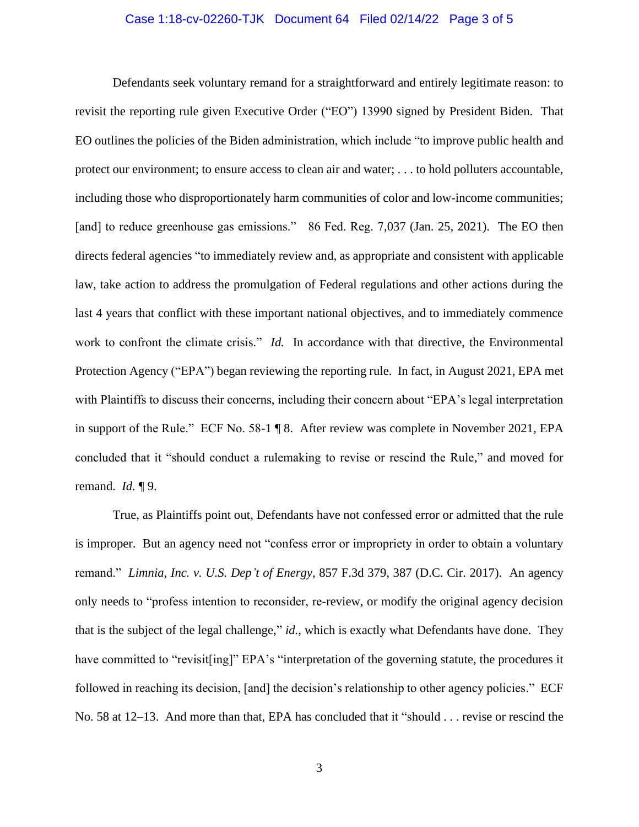#### Case 1:18-cv-02260-TJK Document 64 Filed 02/14/22 Page 3 of 5

Defendants seek voluntary remand for a straightforward and entirely legitimate reason: to revisit the reporting rule given Executive Order ("EO") 13990 signed by President Biden. That EO outlines the policies of the Biden administration, which include "to improve public health and protect our environment; to ensure access to clean air and water; . . . to hold polluters accountable, including those who disproportionately harm communities of color and low-income communities; [and] to reduce greenhouse gas emissions." 86 Fed. Reg. 7,037 (Jan. 25, 2021). The EO then directs federal agencies "to immediately review and, as appropriate and consistent with applicable law, take action to address the promulgation of Federal regulations and other actions during the last 4 years that conflict with these important national objectives, and to immediately commence work to confront the climate crisis." *Id.* In accordance with that directive, the Environmental Protection Agency ("EPA") began reviewing the reporting rule. In fact, in August 2021, EPA met with Plaintiffs to discuss their concerns, including their concern about "EPA's legal interpretation in support of the Rule." ECF No. 58-1 ¶ 8. After review was complete in November 2021, EPA concluded that it "should conduct a rulemaking to revise or rescind the Rule," and moved for remand. *Id.* ¶ 9.

True, as Plaintiffs point out, Defendants have not confessed error or admitted that the rule is improper. But an agency need not "confess error or impropriety in order to obtain a voluntary remand." *Limnia, Inc. v. U.S. Dep't of Energy*, 857 F.3d 379, 387 (D.C. Cir. 2017). An agency only needs to "profess intention to reconsider, re-review, or modify the original agency decision that is the subject of the legal challenge," *id.*, which is exactly what Defendants have done. They have committed to "revisit [ing]" EPA's "interpretation of the governing statute, the procedures it followed in reaching its decision, [and] the decision's relationship to other agency policies." ECF No. 58 at 12–13. And more than that, EPA has concluded that it "should . . . revise or rescind the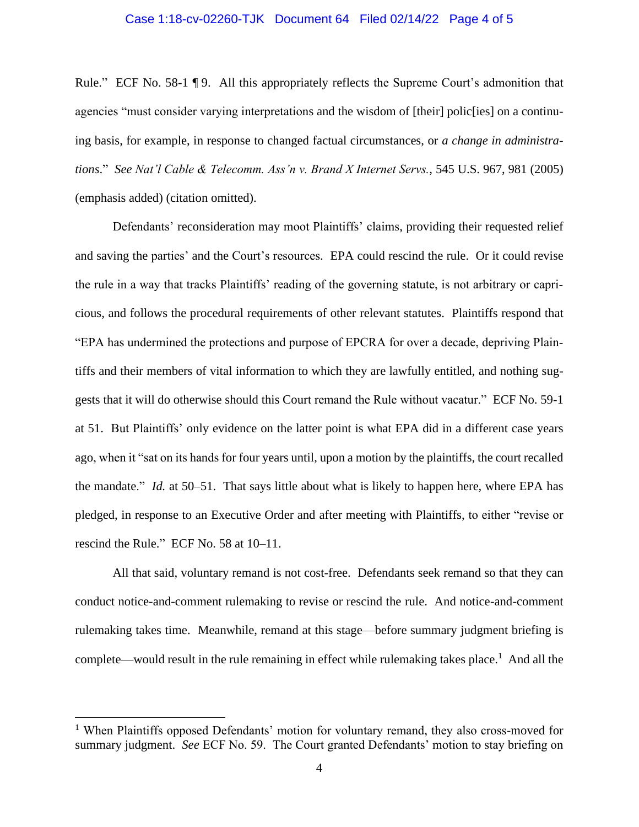#### Case 1:18-cv-02260-TJK Document 64 Filed 02/14/22 Page 4 of 5

Rule." ECF No. 58-1 ¶ 9. All this appropriately reflects the Supreme Court's admonition that agencies "must consider varying interpretations and the wisdom of [their] polic[ies] on a continuing basis, for example, in response to changed factual circumstances, or *a change in administrations*." *See Nat'l Cable & Telecomm. Ass'n v. Brand X Internet Servs.*, 545 U.S. 967, 981 (2005) (emphasis added) (citation omitted).

Defendants' reconsideration may moot Plaintiffs' claims, providing their requested relief and saving the parties' and the Court's resources. EPA could rescind the rule. Or it could revise the rule in a way that tracks Plaintiffs' reading of the governing statute, is not arbitrary or capricious, and follows the procedural requirements of other relevant statutes. Plaintiffs respond that "EPA has undermined the protections and purpose of EPCRA for over a decade, depriving Plaintiffs and their members of vital information to which they are lawfully entitled, and nothing suggests that it will do otherwise should this Court remand the Rule without vacatur." ECF No. 59-1 at 51. But Plaintiffs' only evidence on the latter point is what EPA did in a different case years ago, when it "sat on its hands for four years until, upon a motion by the plaintiffs, the court recalled the mandate." *Id.* at 50–51. That says little about what is likely to happen here, where EPA has pledged, in response to an Executive Order and after meeting with Plaintiffs, to either "revise or rescind the Rule." ECF No. 58 at 10–11.

All that said, voluntary remand is not cost-free. Defendants seek remand so that they can conduct notice-and-comment rulemaking to revise or rescind the rule. And notice-and-comment rulemaking takes time. Meanwhile, remand at this stage—before summary judgment briefing is complete—would result in the rule remaining in effect while rulemaking takes place.<sup>1</sup> And all the

<sup>&</sup>lt;sup>1</sup> When Plaintiffs opposed Defendants' motion for voluntary remand, they also cross-moved for summary judgment. *See* ECF No. 59. The Court granted Defendants' motion to stay briefing on